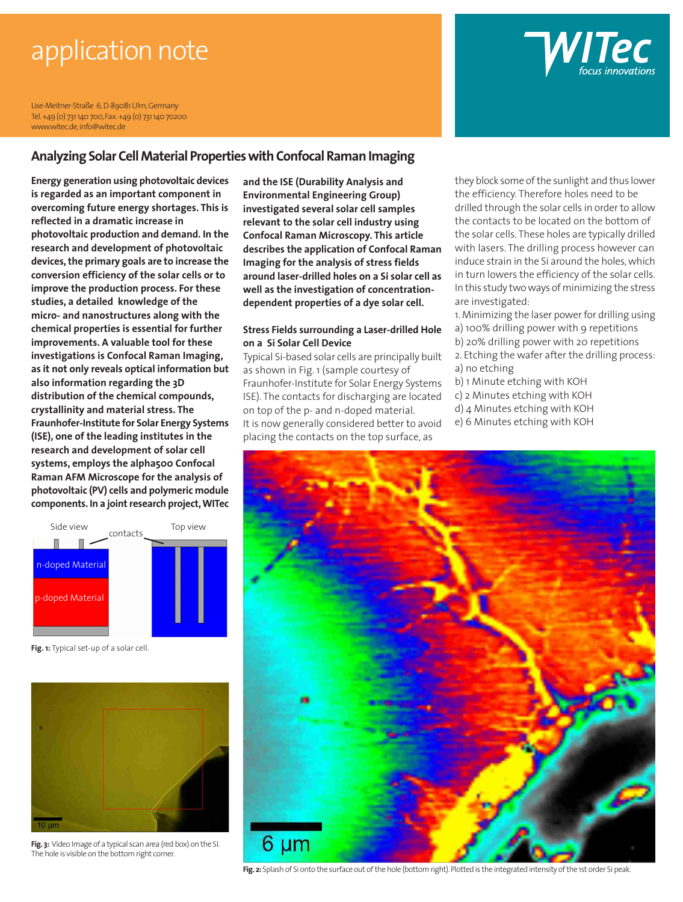# application note

Lise-Meitner-Straße 6, D-89081 Ulm, Germany Tel. +49 (0) 731 140 700, Fax. +49 (0) 731 140 70200 www.witec.de, info@witec.de

#### **Analyzing Solar Cell Material Properties with Confocal Raman Imaging**

**Energy generation using photovoltaic devices is regarded as an important component in overcoming future energy shortages. This is reflected in a dramatic increase in photovoltaic production and demand. In the research and development of photovoltaic devices, the primary goals are to increase the conversion efficiency of the solar cells or to improve the production process. For these studies, a detailed knowledge of the micro- and nanostructures along with the chemical properties is essential for further improvements. A valuable tool for these investigations is Confocal Raman Imaging, as it not only reveals optical information but also information regarding the 3D distribution of the chemical compounds, crystallinity and material stress. The Fraunhofer-Institute for Solar Energy Systems (ISE), one of the leading institutes in the research and development of solar cell systems, employs the alpha500 Confocal Raman AFM Microscope for the analysis of photovoltaic (PV) cells and polymeric module components. In a joint research project, WITec**

Side view Top view contacts  $\mathbb{R}$  $\blacksquare$   $\sim$ doped Material p-doped Material

**Fig. 1:** Typical set-up of a solar cell.



**Fig. 3:** Video Image of a typical scan area (red box) on the SI. The hole is visible on the bottom right corner.

**and the ISE (Durability Analysis and Environmental Engineering Group) investigated several solar cell samples relevant to the solar cell industry using Confocal Raman Microscopy. This article describes the application of Confocal Raman Imaging for the analysis of stress fields around laser-drilled holes on a Si solar cell as well as the investigation of concentrationdependent properties of a dye solar cell.**

#### **Stress Fields surrounding a Laser-drilled Hole on a Si Solar Cell Device**

Typical Si-based solar cells are principally built as shown in Fig. 1 (sample courtesy of Fraunhofer-Institute for Solar Energy Systems ISE). The contacts for discharging are located on top of the p- and n-doped material. It is now generally considered better to avoid placing the contacts on the top surface, as

they block some of the sunlight and thus lower the efficiency. Therefore holes need to be drilled through the solar cells in order to allow the contacts to be located on the bottom of the solar cells. These holes are typically drilled with lasers. The drilling process however can induce strain in the Si around the holes, which in turn lowers the efficiency of the solar cells. In this study two ways of minimizing the stress are investigated:

**WIIPC** 

- 1. Minimizing the laser power for drilling using
- a) 100% drilling power with 9 repetitions
- b) 20% drilling power with 20 repetitions
- 2. Etching the wafer after the drilling process: a) no etching
- b) 1 Minute etching with KOH
- c) 2 Minutes etching with KOH
- d) 4 Minutes etching with KOH
- e) 6 Minutes etching with KOH



Fig. 2: Splash of Si onto the surface out of the hole (bottom right). Plotted is the integrated intensity of the 1st order Si peak.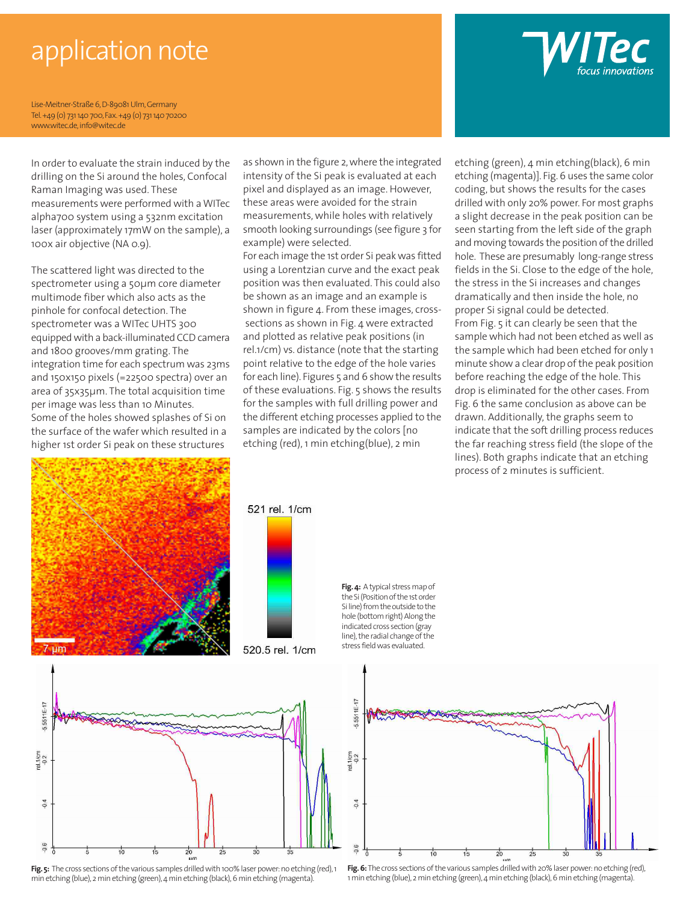# application note

Lise-Meitner-Straße 6, D-89081 Ulm, Germany Tel. +49 (0) 731 140 700, Fax. +49 (0) 731 140 70200 www.witec.de, info@witec.de

In order to evaluate the strain induced by the drilling on the Si around the holes, Confocal Raman Imaging was used. These measurements were performed with a WITec alpha700 system using a 532nm excitation laser (approximately 17mW on the sample), a 100x air objective (NA 0.9).

The scattered light was directed to the spectrometer using a 50µm core diameter multimode fiber which also acts as the pinhole for confocal detection. The spectrometer was a WITec UHTS 300 equipped with a back-illuminated CCD camera and 1800 grooves/mm grating. The integration time for each spectrum was 23ms and 150x150 pixels (=22500 spectra) over an area of 35x35µm. The total acquisition time per image was less than 10 Minutes. Some of the holes showed splashes of Si on the surface of the wafer which resulted in a higher 1st order Si peak on these structures

as shown in the figure 2, where the integrated intensity of the Si peak is evaluated at each pixel and displayed as an image. However, these areas were avoided for the strain measurements, while holes with relatively smooth looking surroundings (see figure 3 for example) were selected.

For each image the 1st order Si peak was fitted using a Lorentzian curve and the exact peak position was then evaluated. This could also be shown as an image and an example is shown in figure 4. From these images, cross sections as shown in Fig. 4 were extracted and plotted as relative peak positions (in rel.1/cm) vs. distance (note that the starting point relative to the edge of the hole varies for each line). Figures 5 and 6 show the results of these evaluations. Fig. 5 shows the results for the samples with full drilling power and the different etching processes applied to the samples are indicated by the colors [no etching (red), 1 min etching(blue), 2 min

etching (green), 4 min etching(black), 6 min etching (magenta)]. Fig. 6 uses the same color coding, but shows the results for the cases drilled with only 20% power. For most graphs a slight decrease in the peak position can be seen starting from the left side of the graph and moving towards the position of the drilled hole. These are presumably long-range stress fields in the Si. Close to the edge of the hole, the stress in the Si increases and changes dramatically and then inside the hole, no proper Si signal could be detected. From Fig. 5 it can clearly be seen that the sample which had not been etched as well as the sample which had been etched for only 1 minute show a clear drop of the peak position before reaching the edge of the hole. This drop is eliminated for the other cases. From Fig. 6 the same conclusion as above can be drawn. Additionally, the graphs seem to indicate that the soft drilling process reduces the far reaching stress field (the slope of the lines). Both graphs indicate that an etching process of 2 minutes is sufficient.









Fig. 5: The cross sections of the various samples drilled with 100% laser power: no etching (red), 1 min etching (blue), 2 min etching (green), 4 min etching (black), 6 min etching (magenta).

the Si (Position of the 1st order Si line) from the outside to the hole (bottom right) Along the line), the radial change of the





Fig. 6: The cross sections of the various samples drilled with 20% laser power: no etching (red), 1 min etching (blue), 2 min etching (green), 4 min etching (black), 6 min etching (magenta).